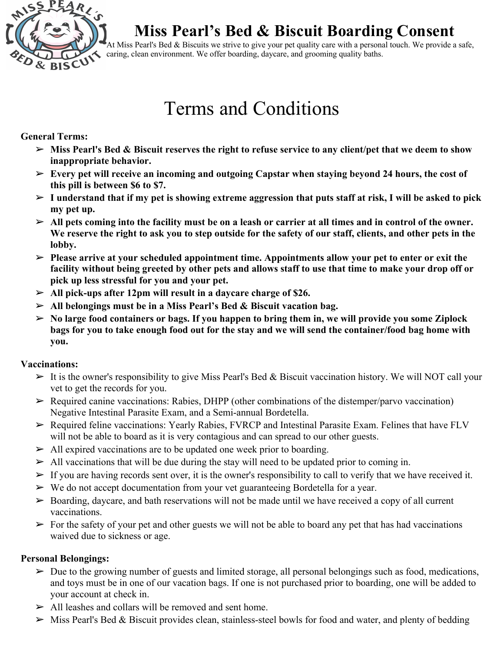

At Miss Pearl's Bed & Biscuits we strive to give your pet quality care with a personal touch. We provide a safe, caring, clean environment. We offer boarding, daycare, and grooming quality baths.

# Terms and Conditions

### **General Terms:**

- ➢ **Miss Pearl's Bed & Biscuit reserves the right to refuse service to any client/pet that we deem to show inappropriate behavior.**
- ➢ **Every pet will receive an incoming and outgoing Capstar when staying beyond 24 hours, the cost of this pill is between \$6 to \$7.**
- ➢ **I understand that if my pet is showing extreme aggression that puts staff at risk, I will be asked to pick my pet up.**
- ➢ **All pets coming into the facility must be on a leash or carrier at all times and in control of the owner. We reserve the right to ask you to step outside for the safety of our staff, clients, and other pets in the lobby.**
- ➢ **Please arrive at your scheduled appointment time. Appointments allow your pet to enter or exit the facility without being greeted by other pets and allows staff to use that time to make your drop off or pick up less stressful for you and your pet.**
- ➢ **All pick-ups after 12pm will result in a daycare charge of \$26.**
- ➢ **All belongings must be in a Miss Pearl's Bed & Biscuit vacation bag.**
- ➢ **No large food containers or bags. If you happen to bring them in, we will provide you some Ziplock bags for you to take enough food out for the stay and we will send the container/food bag home with you.**

# **Vaccinations:**

- $\triangleright$  It is the owner's responsibility to give Miss Pearl's Bed & Biscuit vaccination history. We will NOT call your vet to get the records for you.
- $\triangleright$  Required canine vaccinations: Rabies, DHPP (other combinations of the distemper/parvo vaccination) Negative Intestinal Parasite Exam, and a Semi-annual Bordetella.
- $\triangleright$  Required feline vaccinations: Yearly Rabies, FVRCP and Intestinal Parasite Exam. Felines that have FLV will not be able to board as it is very contagious and can spread to our other guests.
- $\triangleright$  All expired vaccinations are to be updated one week prior to boarding.
- $\triangleright$  All vaccinations that will be due during the stay will need to be updated prior to coming in.
- $\triangleright$  If you are having records sent over, it is the owner's responsibility to call to verify that we have received it.
- $\triangleright$  We do not accept documentation from your vet guaranteeing Bordetella for a year.
- $\triangleright$  Boarding, daycare, and bath reservations will not be made until we have received a copy of all current vaccinations.
- $\triangleright$  For the safety of your pet and other guests we will not be able to board any pet that has had vaccinations waived due to sickness or age.

# **Personal Belongings:**

- $\triangleright$  Due to the growing number of guests and limited storage, all personal belongings such as food, medications, and toys must be in one of our vacation bags. If one is not purchased prior to boarding, one will be added to your account at check in.
- $\triangleright$  All leashes and collars will be removed and sent home.
- $\triangleright$  Miss Pearl's Bed & Biscuit provides clean, stainless-steel bowls for food and water, and plenty of bedding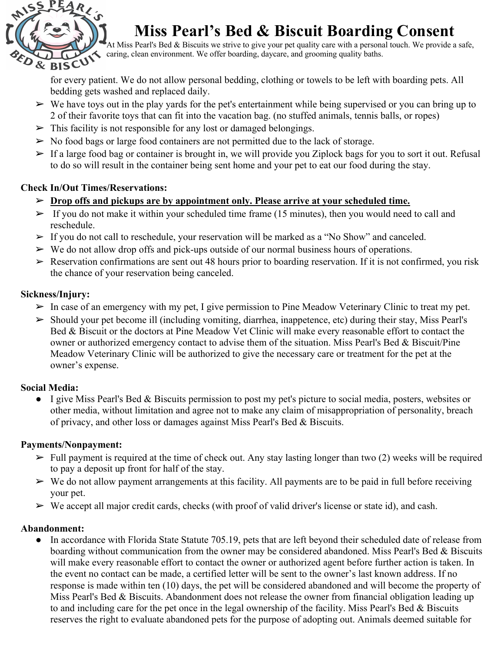

At Miss Pearl's Bed & Biscuits we strive to give your pet quality care with a personal touch. We provide a safe, caring, clean environment. We offer boarding, daycare, and grooming quality baths.

for every patient. We do not allow personal bedding, clothing or towels to be left with boarding pets. All bedding gets washed and replaced daily.

- $\triangleright$  We have toys out in the play yards for the pet's entertainment while being supervised or you can bring up to 2 of their favorite toys that can fit into the vacation bag. (no stuffed animals, tennis balls, or ropes)
- $\triangleright$  This facility is not responsible for any lost or damaged belongings.
- $\triangleright$  No food bags or large food containers are not permitted due to the lack of storage.
- $\triangleright$  If a large food bag or container is brought in, we will provide you Ziplock bags for you to sort it out. Refusal to do so will result in the container being sent home and your pet to eat our food during the stay.

# **Check In/Out Times/Reservations:**

- ➢ **Drop offs and pickups are by appointment only. Please arrive at your scheduled time.**
- $\triangleright$  If you do not make it within your scheduled time frame (15 minutes), then you would need to call and reschedule.
- $\triangleright$  If you do not call to reschedule, your reservation will be marked as a "No Show" and canceled.
- $\triangleright$  We do not allow drop offs and pick-ups outside of our normal business hours of operations.
- $\triangleright$  Reservation confirmations are sent out 48 hours prior to boarding reservation. If it is not confirmed, you risk the chance of your reservation being canceled.

# **Sickness/Injury:**

- $\triangleright$  In case of an emergency with my pet, I give permission to Pine Meadow Veterinary Clinic to treat my pet.
- $\triangleright$  Should your pet become ill (including vomiting, diarrhea, inappetence, etc) during their stay, Miss Pearl's Bed & Biscuit or the doctors at Pine Meadow Vet Clinic will make every reasonable effort to contact the owner or authorized emergency contact to advise them of the situation. Miss Pearl's Bed & Biscuit/Pine Meadow Veterinary Clinic will be authorized to give the necessary care or treatment for the pet at the owner's expense.

# **Social Media:**

● I give Miss Pearl's Bed & Biscuits permission to post my pet's picture to social media, posters, websites or other media, without limitation and agree not to make any claim of misappropriation of personality, breach of privacy, and other loss or damages against Miss Pearl's Bed & Biscuits.

# **Payments/Nonpayment:**

- $\triangleright$  Full payment is required at the time of check out. Any stay lasting longer than two (2) weeks will be required to pay a deposit up front for half of the stay.
- $\triangleright$  We do not allow payment arrangements at this facility. All payments are to be paid in full before receiving your pet.
- $\triangleright$  We accept all major credit cards, checks (with proof of valid driver's license or state id), and cash.

#### **Abandonment:**

• In accordance with Florida State Statute 705.19, pets that are left beyond their scheduled date of release from boarding without communication from the owner may be considered abandoned. Miss Pearl's Bed & Biscuits will make every reasonable effort to contact the owner or authorized agent before further action is taken. In the event no contact can be made, a certified letter will be sent to the owner's last known address. If no response is made within ten (10) days, the pet will be considered abandoned and will become the property of Miss Pearl's Bed & Biscuits. Abandonment does not release the owner from financial obligation leading up to and including care for the pet once in the legal ownership of the facility. Miss Pearl's Bed & Biscuits reserves the right to evaluate abandoned pets for the purpose of adopting out. Animals deemed suitable for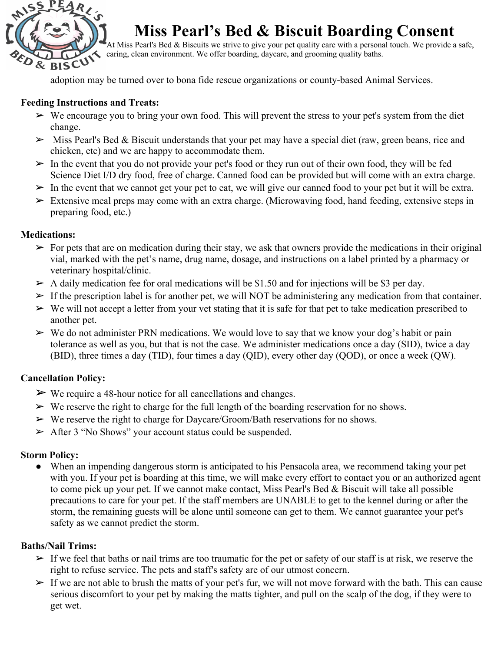

At Miss Pearl's Bed & Biscuits we strive to give your pet quality care with a personal touch. We provide a safe, caring, clean environment. We offer boarding, daycare, and grooming quality baths.

adoption may be turned over to bona fide rescue organizations or county-based Animal Services.

#### **Feeding Instructions and Treats:**

- $\triangleright$  We encourage you to bring your own food. This will prevent the stress to your pet's system from the diet change.
- $\triangleright$  Miss Pearl's Bed & Biscuit understands that your pet may have a special diet (raw, green beans, rice and chicken, etc) and we are happy to accommodate them.
- $\triangleright$  In the event that you do not provide your pet's food or they run out of their own food, they will be fed Science Diet I/D dry food, free of charge. Canned food can be provided but will come with an extra charge.
- $\triangleright$  In the event that we cannot get your pet to eat, we will give our canned food to your pet but it will be extra.
- $\triangleright$  Extensive meal preps may come with an extra charge. (Microwaving food, hand feeding, extensive steps in preparing food, etc.)

#### **Medications:**

- $\triangleright$  For pets that are on medication during their stay, we ask that owners provide the medications in their original vial, marked with the pet's name, drug name, dosage, and instructions on a label printed by a pharmacy or veterinary hospital/clinic.
- $\triangleright$  A daily medication fee for oral medications will be \$1.50 and for injections will be \$3 per day.
- $\triangleright$  If the prescription label is for another pet, we will NOT be administering any medication from that container.
- $\triangleright$  We will not accept a letter from your vet stating that it is safe for that pet to take medication prescribed to another pet.
- $\triangleright$  We do not administer PRN medications. We would love to say that we know your dog's habit or pain tolerance as well as you, but that is not the case. We administer medications once a day (SID), twice a day (BID), three times a day (TID), four times a day (QID), every other day (QOD), or once a week (QW).

# **Cancellation Policy:**

- $\triangleright$  We require a 48-hour notice for all cancellations and changes.
- $\triangleright$  We reserve the right to charge for the full length of the boarding reservation for no shows.
- $\triangleright$  We reserve the right to charge for Daycare/Groom/Bath reservations for no shows.
- ➢ After 3 "No Shows" your account status could be suspended.

# **Storm Policy:**

● When an impending dangerous storm is anticipated to his Pensacola area, we recommend taking your pet with you. If your pet is boarding at this time, we will make every effort to contact you or an authorized agent to come pick up your pet. If we cannot make contact, Miss Pearl's Bed & Biscuit will take all possible precautions to care for your pet. If the staff members are UNABLE to get to the kennel during or after the storm, the remaining guests will be alone until someone can get to them. We cannot guarantee your pet's safety as we cannot predict the storm.

# **Baths/Nail Trims:**

- $\triangleright$  If we feel that baths or nail trims are too traumatic for the pet or safety of our staff is at risk, we reserve the right to refuse service. The pets and staff's safety are of our utmost concern.
- $\triangleright$  If we are not able to brush the matts of your pet's fur, we will not move forward with the bath. This can cause serious discomfort to your pet by making the matts tighter, and pull on the scalp of the dog, if they were to get wet.